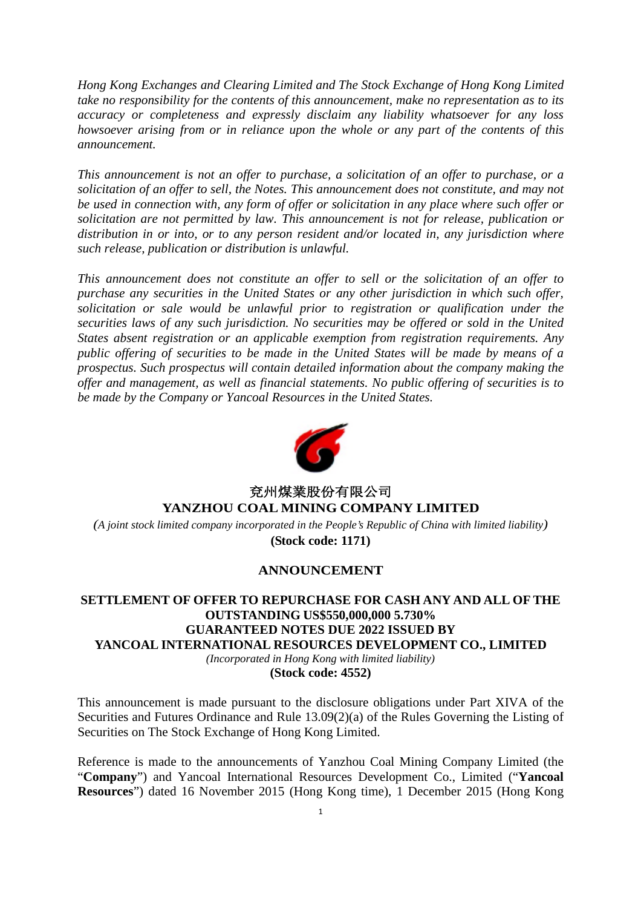*Hong Kong Exchanges and Clearing Limited and The Stock Exchange of Hong Kong Limited take no responsibility for the contents of this announcement, make no representation as to its accuracy or completeness and expressly disclaim any liability whatsoever for any loss howsoever arising from or in reliance upon the whole or any part of the contents of this announcement.*

*This announcement is not an offer to purchase, a solicitation of an offer to purchase, or a solicitation of an offer to sell, the Notes. This announcement does not constitute, and may not be used in connection with, any form of offer or solicitation in any place where such offer or solicitation are not permitted by law. This announcement is not for release, publication or distribution in or into, or to any person resident and/or located in, any jurisdiction where such release, publication or distribution is unlawful.*

*This announcement does not constitute an offer to sell or the solicitation of an offer to purchase any securities in the United States or any other jurisdiction in which such offer, solicitation or sale would be unlawful prior to registration or qualification under the securities laws of any such jurisdiction. No securities may be offered or sold in the United States absent registration or an applicable exemption from registration requirements. Any public offering of securities to be made in the United States will be made by means of a prospectus. Such prospectus will contain detailed information about the company making the offer and management, as well as financial statements. No public offering of securities is to be made by the Company or Yancoal Resources in the United States.*



## 兗州煤業股份有限公司 **YANZHOU COAL MINING COMPANY LIMITED**

*(A joint stock limited company incorporated in the People's Republic of China with limited liability)* **(Stock code: 1171)**

## **ANNOUNCEMENT**

## **SETTLEMENT OF OFFER TO REPURCHASE FOR CASH ANY AND ALL OF THE OUTSTANDING US\$550,000,000 5.730% GUARANTEED NOTES DUE 2022 ISSUED BY YANCOAL INTERNATIONAL RESOURCES DEVELOPMENT CO., LIMITED** *(Incorporated in Hong Kong with limited liability)*

**(Stock code: 4552)**

This announcement is made pursuant to the disclosure obligations under Part XIVA of the Securities and Futures Ordinance and Rule  $13.09(2)(a)$  of the Rules Governing the Listing of Securities on The Stock Exchange of Hong Kong Limited.

Reference is made to the announcements of Yanzhou Coal Mining Company Limited (the "Company") and Yancoal International Resources Development Co., Limited ("Yancoal **Resources**") dated 16 November 2015 (Hong Kong time), 1 December 2015 (Hong Kong